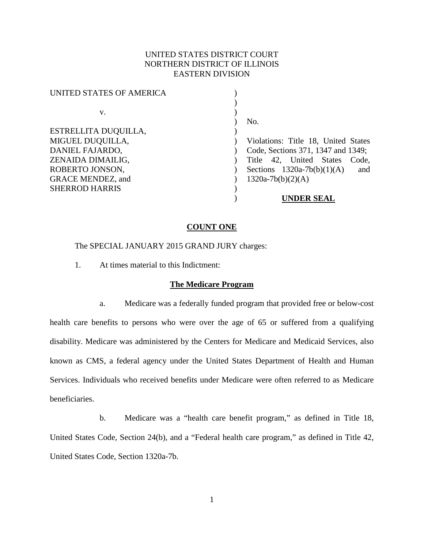## UNITED STATES DISTRICT COURT NORTHERN DISTRICT OF ILLINOIS EASTERN DIVISION

| UNITED STATES OF AMERICA |                                     |
|--------------------------|-------------------------------------|
|                          |                                     |
| V.                       |                                     |
|                          | No.                                 |
| ESTRELLITA DUQUILLA,     |                                     |
| MIGUEL DUQUILLA,         | Violations: Title 18, United States |
| DANIEL FAJARDO,          | Code, Sections 371, 1347 and 1349;  |
| ZENAIDA DIMAILIG,        | Title 42, United States<br>Code,    |
| ROBERTO JONSON,          | Sections $1320a-7b(b)(1)(A)$<br>and |
| <b>GRACE MENDEZ, and</b> | $1320a-7b(b)(2)(A)$                 |
| <b>SHERROD HARRIS</b>    |                                     |
|                          | UNDER SEAL                          |

#### **COUNT ONE**

The SPECIAL JANUARY 2015 GRAND JURY charges:

1. At times material to this Indictment:

### **The Medicare Program**

a. Medicare was a federally funded program that provided free or below-cost health care benefits to persons who were over the age of 65 or suffered from a qualifying disability. Medicare was administered by the Centers for Medicare and Medicaid Services, also known as CMS, a federal agency under the United States Department of Health and Human Services. Individuals who received benefits under Medicare were often referred to as Medicare beneficiaries.

b. Medicare was a "health care benefit program," as defined in Title 18, United States Code, Section 24(b), and a "Federal health care program," as defined in Title 42, United States Code, Section 1320a-7b.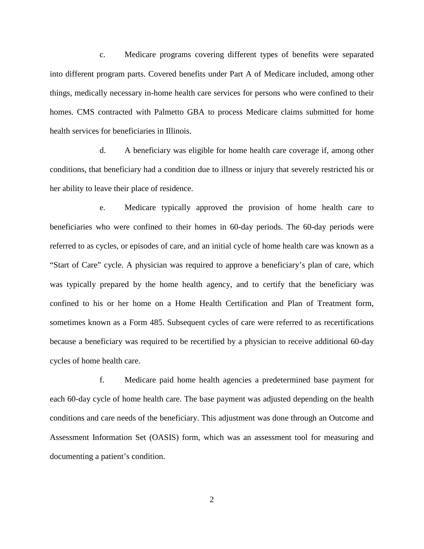c. Medicare programs covering different types of benefits were separated into different program parts. Covered benefits under Part A of Medicare included, among other things, medically necessary in-home health care services for persons who were confined to their homes. CMS contracted with Palmetto GBA to process Medicare claims submitted for home health services for beneficiaries in Illinois.

d. A beneficiary was eligible for home health care coverage if, among other conditions, that beneficiary had a condition due to illness or injury that severely restricted his or her ability to leave their place of residence.

e. Medicare typically approved the provision of home health care to beneficiaries who were confined to their homes in 60-day periods. The 60-day periods were referred to as cycles, or episodes of care, and an initial cycle of home health care was known as a "Start of Care" cycle. A physician was required to approve a beneficiary's plan of care, which was typically prepared by the home health agency, and to certify that the beneficiary was confined to his or her home on a Home Health Certification and Plan of Treatment form, sometimes known as a Form 485. Subsequent cycles of care were referred to as recertifications because a beneficiary was required to be recertified by a physician to receive additional 60-day cycles of home health care.

f. Medicare paid home health agencies a predetermined base payment for each 60-day cycle of home health care. The base payment was adjusted depending on the health conditions and care needs of the beneficiary. This adjustment was done through an Outcome and Assessment Information Set (OASIS) form, which was an assessment tool for measuring and documenting a patient's condition.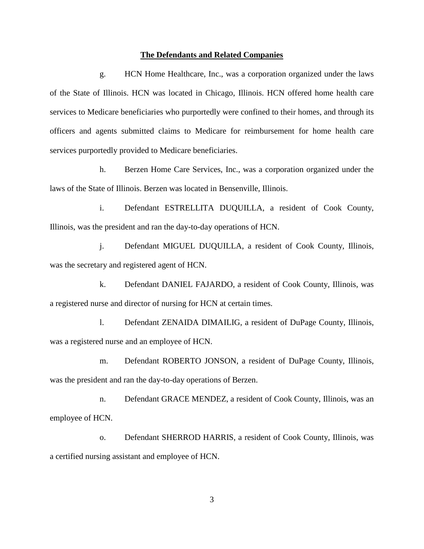#### **The Defendants and Related Companies**

g. HCN Home Healthcare, Inc., was a corporation organized under the laws of the State of Illinois. HCN was located in Chicago, Illinois. HCN offered home health care services to Medicare beneficiaries who purportedly were confined to their homes, and through its officers and agents submitted claims to Medicare for reimbursement for home health care services purportedly provided to Medicare beneficiaries.

h. Berzen Home Care Services, Inc., was a corporation organized under the laws of the State of Illinois. Berzen was located in Bensenville, Illinois.

i. Defendant ESTRELLITA DUQUILLA, a resident of Cook County, Illinois, was the president and ran the day-to-day operations of HCN.

j. Defendant MIGUEL DUQUILLA, a resident of Cook County, Illinois, was the secretary and registered agent of HCN.

k. Defendant DANIEL FAJARDO, a resident of Cook County, Illinois, was a registered nurse and director of nursing for HCN at certain times.

l. Defendant ZENAIDA DIMAILIG, a resident of DuPage County, Illinois, was a registered nurse and an employee of HCN.

m. Defendant ROBERTO JONSON, a resident of DuPage County, Illinois, was the president and ran the day-to-day operations of Berzen.

n. Defendant GRACE MENDEZ, a resident of Cook County, Illinois, was an employee of HCN.

o. Defendant SHERROD HARRIS, a resident of Cook County, Illinois, was a certified nursing assistant and employee of HCN.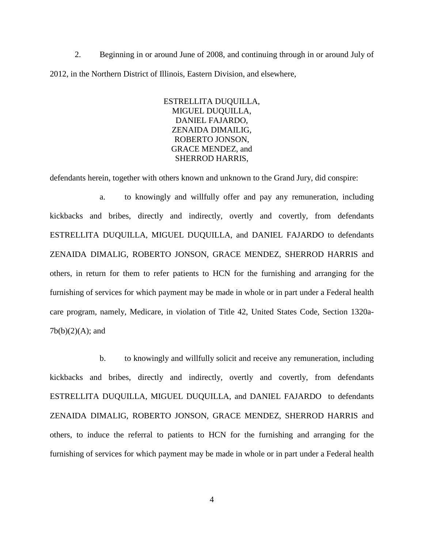2. Beginning in or around June of 2008, and continuing through in or around July of 2012, in the Northern District of Illinois, Eastern Division, and elsewhere,

> ESTRELLITA DUQUILLA, MIGUEL DUQUILLA, DANIEL FAJARDO, ZENAIDA DIMAILIG, ROBERTO JONSON, GRACE MENDEZ, and SHERROD HARRIS,

defendants herein, together with others known and unknown to the Grand Jury, did conspire:

a. to knowingly and willfully offer and pay any remuneration, including kickbacks and bribes, directly and indirectly, overtly and covertly, from defendants ESTRELLITA DUQUILLA, MIGUEL DUQUILLA, and DANIEL FAJARDO to defendants ZENAIDA DIMALIG, ROBERTO JONSON, GRACE MENDEZ, SHERROD HARRIS and others, in return for them to refer patients to HCN for the furnishing and arranging for the furnishing of services for which payment may be made in whole or in part under a Federal health care program, namely, Medicare, in violation of Title 42, United States Code, Section 1320a- $7b(b)(2)(A)$ ; and

b. to knowingly and willfully solicit and receive any remuneration, including kickbacks and bribes, directly and indirectly, overtly and covertly, from defendants ESTRELLITA DUQUILLA, MIGUEL DUQUILLA, and DANIEL FAJARDO to defendants ZENAIDA DIMALIG, ROBERTO JONSON, GRACE MENDEZ, SHERROD HARRIS and others, to induce the referral to patients to HCN for the furnishing and arranging for the furnishing of services for which payment may be made in whole or in part under a Federal health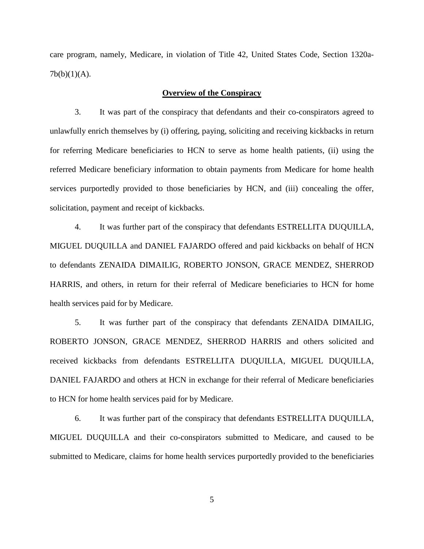care program, namely, Medicare, in violation of Title 42, United States Code, Section 1320a- $7b(b)(1)(A)$ .

### **Overview of the Conspiracy**

3. It was part of the conspiracy that defendants and their co-conspirators agreed to unlawfully enrich themselves by (i) offering, paying, soliciting and receiving kickbacks in return for referring Medicare beneficiaries to HCN to serve as home health patients, (ii) using the referred Medicare beneficiary information to obtain payments from Medicare for home health services purportedly provided to those beneficiaries by HCN, and (iii) concealing the offer, solicitation, payment and receipt of kickbacks.

4. It was further part of the conspiracy that defendants ESTRELLITA DUQUILLA, MIGUEL DUQUILLA and DANIEL FAJARDO offered and paid kickbacks on behalf of HCN to defendants ZENAIDA DIMAILIG, ROBERTO JONSON, GRACE MENDEZ, SHERROD HARRIS, and others, in return for their referral of Medicare beneficiaries to HCN for home health services paid for by Medicare.

5. It was further part of the conspiracy that defendants ZENAIDA DIMAILIG, ROBERTO JONSON, GRACE MENDEZ, SHERROD HARRIS and others solicited and received kickbacks from defendants ESTRELLITA DUQUILLA, MIGUEL DUQUILLA, DANIEL FAJARDO and others at HCN in exchange for their referral of Medicare beneficiaries to HCN for home health services paid for by Medicare.

6. It was further part of the conspiracy that defendants ESTRELLITA DUQUILLA, MIGUEL DUQUILLA and their co-conspirators submitted to Medicare, and caused to be submitted to Medicare, claims for home health services purportedly provided to the beneficiaries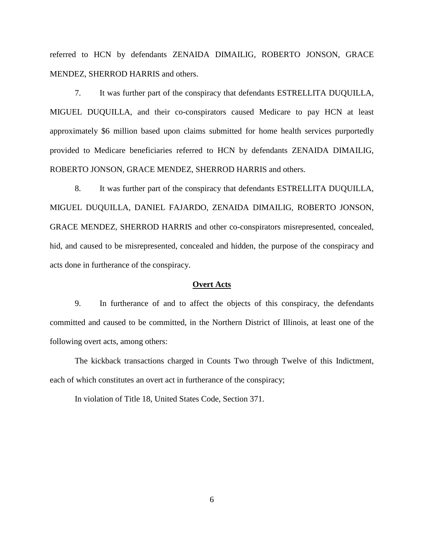referred to HCN by defendants ZENAIDA DIMAILIG, ROBERTO JONSON, GRACE MENDEZ, SHERROD HARRIS and others.

7. It was further part of the conspiracy that defendants ESTRELLITA DUQUILLA, MIGUEL DUQUILLA, and their co-conspirators caused Medicare to pay HCN at least approximately \$6 million based upon claims submitted for home health services purportedly provided to Medicare beneficiaries referred to HCN by defendants ZENAIDA DIMAILIG, ROBERTO JONSON, GRACE MENDEZ, SHERROD HARRIS and others.

8. It was further part of the conspiracy that defendants ESTRELLITA DUQUILLA, MIGUEL DUQUILLA, DANIEL FAJARDO, ZENAIDA DIMAILIG, ROBERTO JONSON, GRACE MENDEZ, SHERROD HARRIS and other co-conspirators misrepresented, concealed, hid, and caused to be misrepresented, concealed and hidden, the purpose of the conspiracy and acts done in furtherance of the conspiracy.

### **Overt Acts**

9. In furtherance of and to affect the objects of this conspiracy, the defendants committed and caused to be committed, in the Northern District of Illinois, at least one of the following overt acts, among others:

The kickback transactions charged in Counts Two through Twelve of this Indictment, each of which constitutes an overt act in furtherance of the conspiracy;

In violation of Title 18, United States Code, Section 371.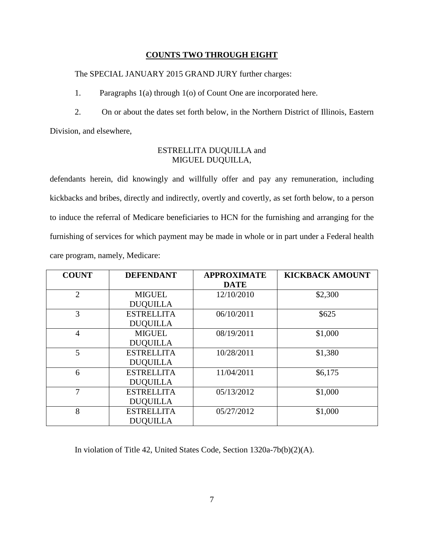### **COUNTS TWO THROUGH EIGHT**

## The SPECIAL JANUARY 2015 GRAND JURY further charges:

1. Paragraphs 1(a) through 1(o) of Count One are incorporated here.

2. On or about the dates set forth below, in the Northern District of Illinois, Eastern Division, and elsewhere,

## ESTRELLITA DUQUILLA and MIGUEL DUQUILLA,

defendants herein, did knowingly and willfully offer and pay any remuneration, including kickbacks and bribes, directly and indirectly, overtly and covertly, as set forth below, to a person to induce the referral of Medicare beneficiaries to HCN for the furnishing and arranging for the furnishing of services for which payment may be made in whole or in part under a Federal health care program, namely, Medicare:

| <b>COUNT</b>   | <b>DEFENDANT</b>  | <b>APPROXIMATE</b> | <b>KICKBACK AMOUNT</b> |
|----------------|-------------------|--------------------|------------------------|
|                |                   | <b>DATE</b>        |                        |
| $\overline{2}$ | <b>MIGUEL</b>     | 12/10/2010         | \$2,300                |
|                | <b>DUQUILLA</b>   |                    |                        |
| 3              | <b>ESTRELLITA</b> | 06/10/2011         | \$625                  |
|                | <b>DUQUILLA</b>   |                    |                        |
| $\overline{4}$ | <b>MIGUEL</b>     | 08/19/2011         | \$1,000                |
|                | <b>DUQUILLA</b>   |                    |                        |
| 5              | <b>ESTRELLITA</b> | 10/28/2011         | \$1,380                |
|                | <b>DUQUILLA</b>   |                    |                        |
| 6              | <b>ESTRELLITA</b> | 11/04/2011         | \$6,175                |
|                | <b>DUQUILLA</b>   |                    |                        |
| 7              | <b>ESTRELLITA</b> | 05/13/2012         | \$1,000                |
|                | <b>DUQUILLA</b>   |                    |                        |
| 8              | <b>ESTRELLITA</b> | 05/27/2012         | \$1,000                |
|                | <b>DUQUILLA</b>   |                    |                        |

In violation of Title 42, United States Code, Section 1320a-7b(b)(2)(A).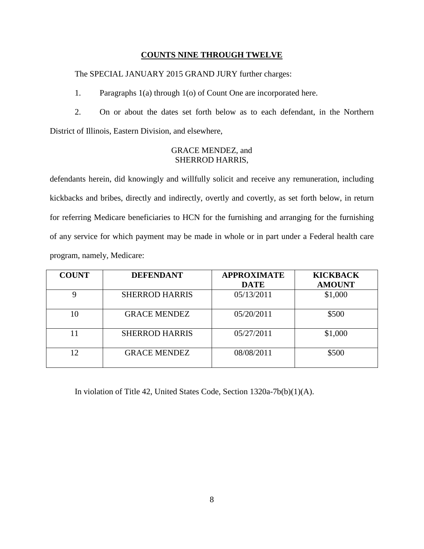## **COUNTS NINE THROUGH TWELVE**

The SPECIAL JANUARY 2015 GRAND JURY further charges:

1. Paragraphs 1(a) through 1(o) of Count One are incorporated here.

2. On or about the dates set forth below as to each defendant, in the Northern District of Illinois, Eastern Division, and elsewhere,

## GRACE MENDEZ, and SHERROD HARRIS,

defendants herein, did knowingly and willfully solicit and receive any remuneration, including kickbacks and bribes, directly and indirectly, overtly and covertly, as set forth below, in return for referring Medicare beneficiaries to HCN for the furnishing and arranging for the furnishing of any service for which payment may be made in whole or in part under a Federal health care program, namely, Medicare:

| <b>COUNT</b> | <b>DEFENDANT</b>      | <b>APPROXIMATE</b> | <b>KICKBACK</b> |
|--------------|-----------------------|--------------------|-----------------|
|              |                       | <b>DATE</b>        | <b>AMOUNT</b>   |
| 9            | <b>SHERROD HARRIS</b> | 05/13/2011         | \$1,000         |
| 10           | <b>GRACE MENDEZ</b>   | 05/20/2011         | \$500           |
| 11           | <b>SHERROD HARRIS</b> | 05/27/2011         | \$1,000         |
| 12           | <b>GRACE MENDEZ</b>   | 08/08/2011         | \$500           |

In violation of Title 42, United States Code, Section 1320a-7b(b)(1)(A).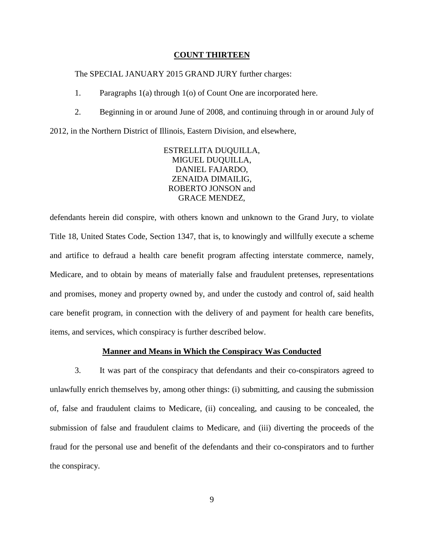#### **COUNT THIRTEEN**

### The SPECIAL JANUARY 2015 GRAND JURY further charges:

- 1. Paragraphs 1(a) through 1(o) of Count One are incorporated here.
- 2. Beginning in or around June of 2008, and continuing through in or around July of

2012, in the Northern District of Illinois, Eastern Division, and elsewhere,

ESTRELLITA DUQUILLA, MIGUEL DUQUILLA, DANIEL FAJARDO, ZENAIDA DIMAILIG, ROBERTO JONSON and GRACE MENDEZ,

defendants herein did conspire, with others known and unknown to the Grand Jury, to violate Title 18, United States Code, Section 1347, that is, to knowingly and willfully execute a scheme and artifice to defraud a health care benefit program affecting interstate commerce, namely, Medicare, and to obtain by means of materially false and fraudulent pretenses, representations and promises, money and property owned by, and under the custody and control of, said health care benefit program, in connection with the delivery of and payment for health care benefits, items, and services, which conspiracy is further described below.

### **Manner and Means in Which the Conspiracy Was Conducted**

3. It was part of the conspiracy that defendants and their co-conspirators agreed to unlawfully enrich themselves by, among other things: (i) submitting, and causing the submission of, false and fraudulent claims to Medicare, (ii) concealing, and causing to be concealed, the submission of false and fraudulent claims to Medicare, and (iii) diverting the proceeds of the fraud for the personal use and benefit of the defendants and their co-conspirators and to further the conspiracy.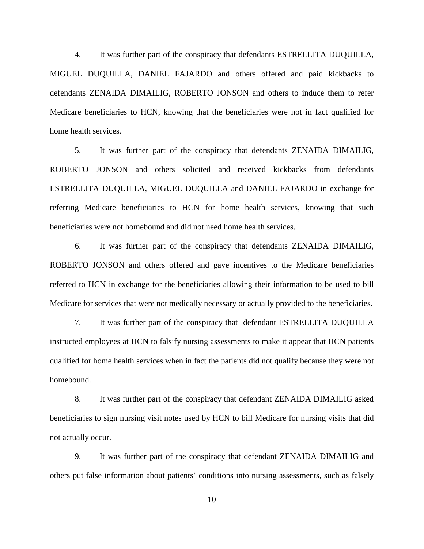4. It was further part of the conspiracy that defendants ESTRELLITA DUQUILLA, MIGUEL DUQUILLA, DANIEL FAJARDO and others offered and paid kickbacks to defendants ZENAIDA DIMAILIG, ROBERTO JONSON and others to induce them to refer Medicare beneficiaries to HCN, knowing that the beneficiaries were not in fact qualified for home health services.

5. It was further part of the conspiracy that defendants ZENAIDA DIMAILIG, ROBERTO JONSON and others solicited and received kickbacks from defendants ESTRELLITA DUQUILLA, MIGUEL DUQUILLA and DANIEL FAJARDO in exchange for referring Medicare beneficiaries to HCN for home health services, knowing that such beneficiaries were not homebound and did not need home health services.

6. It was further part of the conspiracy that defendants ZENAIDA DIMAILIG, ROBERTO JONSON and others offered and gave incentives to the Medicare beneficiaries referred to HCN in exchange for the beneficiaries allowing their information to be used to bill Medicare for services that were not medically necessary or actually provided to the beneficiaries.

7. It was further part of the conspiracy that defendant ESTRELLITA DUQUILLA instructed employees at HCN to falsify nursing assessments to make it appear that HCN patients qualified for home health services when in fact the patients did not qualify because they were not homebound.

8. It was further part of the conspiracy that defendant ZENAIDA DIMAILIG asked beneficiaries to sign nursing visit notes used by HCN to bill Medicare for nursing visits that did not actually occur.

9. It was further part of the conspiracy that defendant ZENAIDA DIMAILIG and others put false information about patients' conditions into nursing assessments, such as falsely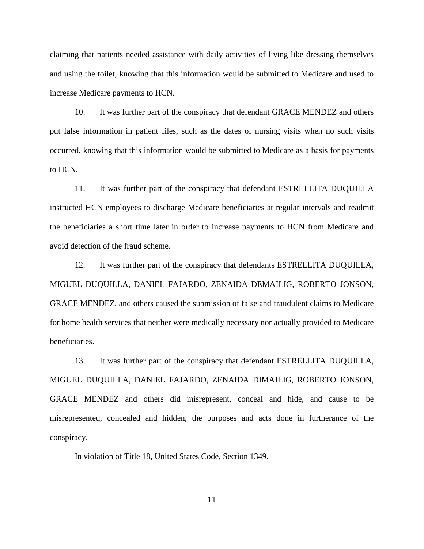claiming that patients needed assistance with daily activities of living like dressing themselves and using the toilet, knowing that this information would be submitted to Medicare and used to increase Medicare payments to HCN.

10. It was further part of the conspiracy that defendant GRACE MENDEZ and others put false information in patient files, such as the dates of nursing visits when no such visits occurred, knowing that this information would be submitted to Medicare as a basis for payments to HCN.

11. It was further part of the conspiracy that defendant ESTRELLITA DUQUILLA instructed HCN employees to discharge Medicare beneficiaries at regular intervals and readmit the beneficiaries a short time later in order to increase payments to HCN from Medicare and avoid detection of the fraud scheme.

12. It was further part of the conspiracy that defendants ESTRELLITA DUQUILLA, MIGUEL DUQUILLA, DANIEL FAJARDO, ZENAIDA DEMAILIG, ROBERTO JONSON, GRACE MENDEZ, and others caused the submission of false and fraudulent claims to Medicare for home health services that neither were medically necessary nor actually provided to Medicare beneficiaries.

13. It was further part of the conspiracy that defendant ESTRELLITA DUQUILLA, MIGUEL DUQUILLA, DANIEL FAJARDO, ZENAIDA DIMAILIG, ROBERTO JONSON, GRACE MENDEZ and others did misrepresent, conceal and hide, and cause to be misrepresented, concealed and hidden, the purposes and acts done in furtherance of the conspiracy.

In violation of Title 18, United States Code, Section 1349.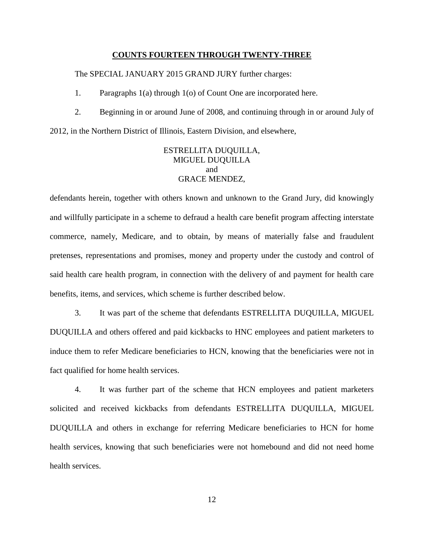### **COUNTS FOURTEEN THROUGH TWENTY-THREE**

The SPECIAL JANUARY 2015 GRAND JURY further charges:

1. Paragraphs 1(a) through 1(o) of Count One are incorporated here.

2. Beginning in or around June of 2008, and continuing through in or around July of

2012, in the Northern District of Illinois, Eastern Division, and elsewhere,

# ESTRELLITA DUQUILLA, MIGUEL DUQUILLA and GRACE MENDEZ,

defendants herein, together with others known and unknown to the Grand Jury, did knowingly and willfully participate in a scheme to defraud a health care benefit program affecting interstate commerce, namely, Medicare, and to obtain, by means of materially false and fraudulent pretenses, representations and promises, money and property under the custody and control of said health care health program, in connection with the delivery of and payment for health care benefits, items, and services, which scheme is further described below.

3. It was part of the scheme that defendants ESTRELLITA DUQUILLA, MIGUEL DUQUILLA and others offered and paid kickbacks to HNC employees and patient marketers to induce them to refer Medicare beneficiaries to HCN, knowing that the beneficiaries were not in fact qualified for home health services.

4. It was further part of the scheme that HCN employees and patient marketers solicited and received kickbacks from defendants ESTRELLITA DUQUILLA, MIGUEL DUQUILLA and others in exchange for referring Medicare beneficiaries to HCN for home health services, knowing that such beneficiaries were not homebound and did not need home health services.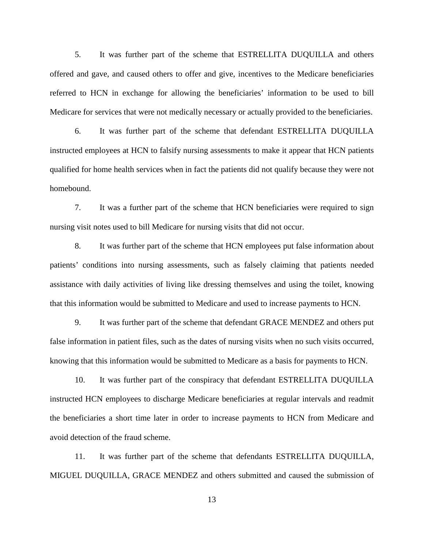5. It was further part of the scheme that ESTRELLITA DUQUILLA and others offered and gave, and caused others to offer and give, incentives to the Medicare beneficiaries referred to HCN in exchange for allowing the beneficiaries' information to be used to bill Medicare for services that were not medically necessary or actually provided to the beneficiaries.

6. It was further part of the scheme that defendant ESTRELLITA DUQUILLA instructed employees at HCN to falsify nursing assessments to make it appear that HCN patients qualified for home health services when in fact the patients did not qualify because they were not homebound.

7. It was a further part of the scheme that HCN beneficiaries were required to sign nursing visit notes used to bill Medicare for nursing visits that did not occur.

8. It was further part of the scheme that HCN employees put false information about patients' conditions into nursing assessments, such as falsely claiming that patients needed assistance with daily activities of living like dressing themselves and using the toilet, knowing that this information would be submitted to Medicare and used to increase payments to HCN.

9. It was further part of the scheme that defendant GRACE MENDEZ and others put false information in patient files, such as the dates of nursing visits when no such visits occurred, knowing that this information would be submitted to Medicare as a basis for payments to HCN.

10. It was further part of the conspiracy that defendant ESTRELLITA DUQUILLA instructed HCN employees to discharge Medicare beneficiaries at regular intervals and readmit the beneficiaries a short time later in order to increase payments to HCN from Medicare and avoid detection of the fraud scheme.

11. It was further part of the scheme that defendants ESTRELLITA DUQUILLA, MIGUEL DUQUILLA, GRACE MENDEZ and others submitted and caused the submission of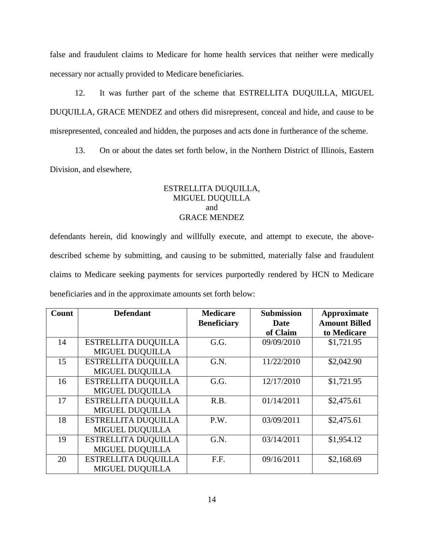false and fraudulent claims to Medicare for home health services that neither were medically necessary nor actually provided to Medicare beneficiaries.

12. It was further part of the scheme that ESTRELLITA DUQUILLA, MIGUEL DUQUILLA, GRACE MENDEZ and others did misrepresent, conceal and hide, and cause to be misrepresented, concealed and hidden, the purposes and acts done in furtherance of the scheme.

13. On or about the dates set forth below, in the Northern District of Illinois, Eastern Division, and elsewhere,

## ESTRELLITA DUQUILLA, MIGUEL DUQUILLA and GRACE MENDEZ

defendants herein, did knowingly and willfully execute, and attempt to execute, the abovedescribed scheme by submitting, and causing to be submitted, materially false and fraudulent claims to Medicare seeking payments for services purportedly rendered by HCN to Medicare beneficiaries and in the approximate amounts set forth below:

| Count | <b>Defendant</b>           | <b>Medicare</b>    | <b>Submission</b> | Approximate          |
|-------|----------------------------|--------------------|-------------------|----------------------|
|       |                            | <b>Beneficiary</b> | Date              | <b>Amount Billed</b> |
|       |                            |                    | of Claim          | to Medicare          |
| 14    | ESTRELLITA DUQUILLA        | G.G.               | 09/09/2010        | \$1,721.95           |
|       | <b>MIGUEL DUQUILLA</b>     |                    |                   |                      |
| 15    | <b>ESTRELLITA DUQUILLA</b> | G.N.               | 11/22/2010        | \$2,042.90           |
|       | <b>MIGUEL DUQUILLA</b>     |                    |                   |                      |
| 16    | <b>ESTRELLITA DUQUILLA</b> | G.G.               | 12/17/2010        | \$1,721.95           |
|       | MIGUEL DUQUILLA            |                    |                   |                      |
| 17    | <b>ESTRELLITA DUQUILLA</b> | R.B.               | 01/14/2011        | \$2,475.61           |
|       | <b>MIGUEL DUQUILLA</b>     |                    |                   |                      |
| 18    | <b>ESTRELLITA DUQUILLA</b> | P.W.               | 03/09/2011        | \$2,475.61           |
|       | <b>MIGUEL DUQUILLA</b>     |                    |                   |                      |
| 19    | <b>ESTRELLITA DUQUILLA</b> | G.N.               | 03/14/2011        | \$1,954.12           |
|       | <b>MIGUEL DUQUILLA</b>     |                    |                   |                      |
| 20    | ESTRELLITA DUQUILLA        | F.F.               | 09/16/2011        | \$2,168.69           |
|       | <b>MIGUEL DUQUILLA</b>     |                    |                   |                      |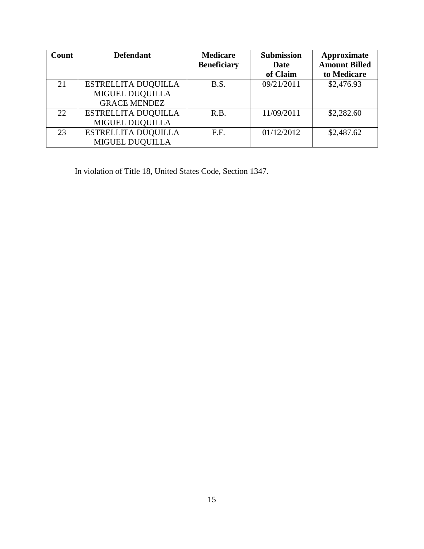| Count | <b>Defendant</b>           | <b>Medicare</b><br><b>Beneficiary</b> | <b>Submission</b><br>Date | Approximate<br><b>Amount Billed</b> |
|-------|----------------------------|---------------------------------------|---------------------------|-------------------------------------|
|       |                            |                                       | of Claim                  | to Medicare                         |
| 21    | <b>ESTRELLITA DUQUILLA</b> | B.S.                                  | 09/21/2011                | \$2,476.93                          |
|       | MIGUEL DUQUILLA            |                                       |                           |                                     |
|       | <b>GRACE MENDEZ</b>        |                                       |                           |                                     |
| 22    | <b>ESTRELLITA DUQUILLA</b> | R.B.                                  | 11/09/2011                | \$2,282.60                          |
|       | <b>MIGUEL DUQUILLA</b>     |                                       |                           |                                     |
| 23    | <b>ESTRELLITA DUQUILLA</b> | F.F.                                  | 01/12/2012                | \$2,487.62                          |
|       | MIGUEL DUQUILLA            |                                       |                           |                                     |

In violation of Title 18, United States Code, Section 1347.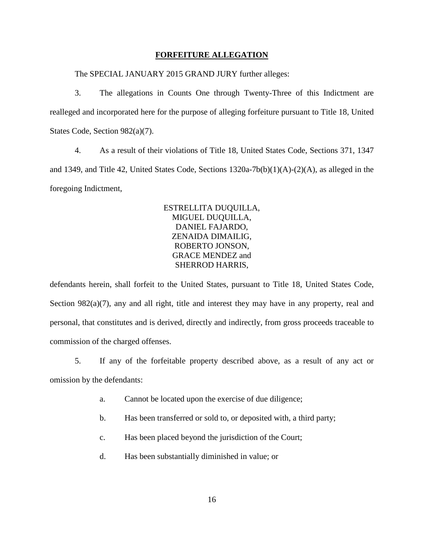### **FORFEITURE ALLEGATION**

The SPECIAL JANUARY 2015 GRAND JURY further alleges:

3. The allegations in Counts One through Twenty-Three of this Indictment are realleged and incorporated here for the purpose of alleging forfeiture pursuant to Title 18, United States Code, Section 982(a)(7).

4. As a result of their violations of Title 18, United States Code, Sections 371, 1347 and 1349, and Title 42, United States Code, Sections  $1320a-7b(b)(1)(A)-(2)(A)$ , as alleged in the foregoing Indictment,

> ESTRELLITA DUQUILLA, MIGUEL DUQUILLA, DANIEL FAJARDO, ZENAIDA DIMAILIG, ROBERTO JONSON, GRACE MENDEZ and SHERROD HARRIS,

defendants herein, shall forfeit to the United States, pursuant to Title 18, United States Code, Section 982(a)(7), any and all right, title and interest they may have in any property, real and personal, that constitutes and is derived, directly and indirectly, from gross proceeds traceable to commission of the charged offenses.

5. If any of the forfeitable property described above, as a result of any act or omission by the defendants:

- a. Cannot be located upon the exercise of due diligence;
- b. Has been transferred or sold to, or deposited with, a third party;
- c. Has been placed beyond the jurisdiction of the Court;
- d. Has been substantially diminished in value; or